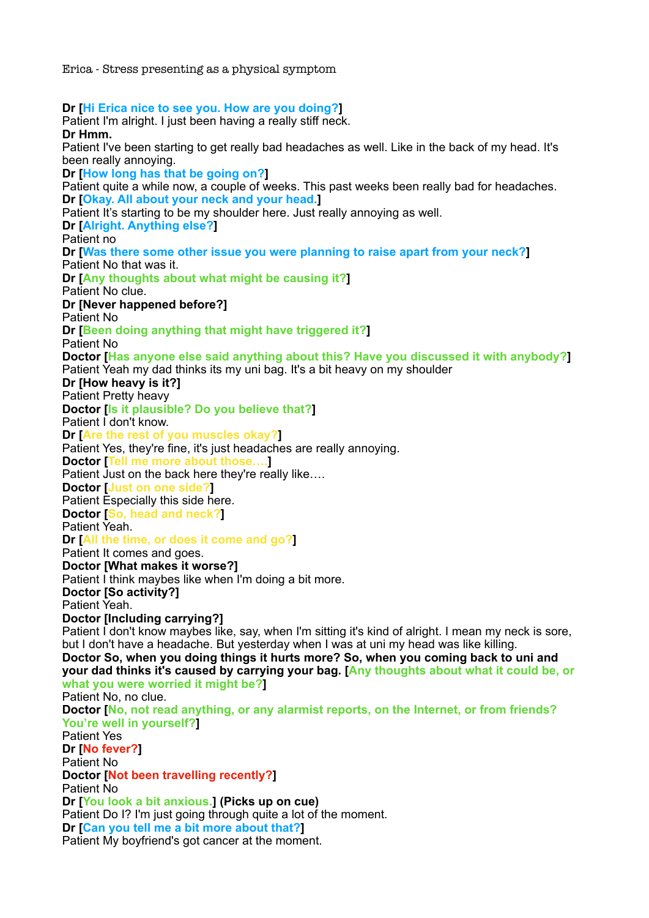Erica - Stress presenting as a physical symptom

**Dr [Hi Erica nice to see you. How are you doing?]**  Patient I'm alright. I just been having a really stiff neck. **Dr Hmm.**  Patient I've been starting to get really bad headaches as well. Like in the back of my head. It's been really annoying. **Dr [How long has that be going on?]**  Patient quite a while now, a couple of weeks. This past weeks been really bad for headaches. **Dr [Okay. All about your neck and your head.]**  Patient It's starting to be my shoulder here. Just really annoying as well. **Dr [Alright. Anything else?]**  Patient no **Dr [Was there some other issue you were planning to raise apart from your neck?]**  Patient No that was it. **Dr [Any thoughts about what might be causing it?]**  Patient No clue. **Dr [Never happened before?]**  Patient No **Dr [Been doing anything that might have triggered it?]**  Patient No **Doctor [Has anyone else said anything about this? Have you discussed it with anybody?]**  Patient Yeah my dad thinks its my uni bag. It's a bit heavy on my shoulder **Dr [How heavy is it?]**  Patient Pretty heavy **Doctor [Is it plausible? Do you believe that?]**  Patient I don't know. **Dr [Are the rest of you muscles okay?]**  Patient Yes, they're fine, it's just headaches are really annoying. **Doctor [Tell me more about those….]**  Patient Just on the back here they're really like…. **Doctor [Just on one side?]**  Patient Especially this side here. **Doctor [So, head and neck?]**  Patient Yeah. **Dr [All the time, or does it come and go?]**  Patient It comes and goes. **Doctor [What makes it worse?]**  Patient I think maybes like when I'm doing a bit more. **Doctor [So activity?]**  Patient Yeah. **Doctor [Including carrying?]**  Patient I don't know maybes like, say, when I'm sitting it's kind of alright. I mean my neck is sore, but I don't have a headache. But yesterday when I was at uni my head was like killing. **Doctor So, when you doing things it hurts more? So, when you coming back to uni and your dad thinks it's caused by carrying your bag. [Any thoughts about what it could be, or what you were worried it might be?]**  Patient No, no clue. **Doctor [No, not read anything, or any alarmist reports, on the Internet, or from friends? You're well in yourself?]**  Patient Yes **Dr [No fever?]**  Patient No **Doctor [Not been travelling recently?]**  Patient No **Dr [You look a bit anxious.] (Picks up on cue)**  Patient Do I? I'm just going through quite a lot of the moment. **Dr [Can you tell me a bit more about that?]**  Patient My boyfriend's got cancer at the moment.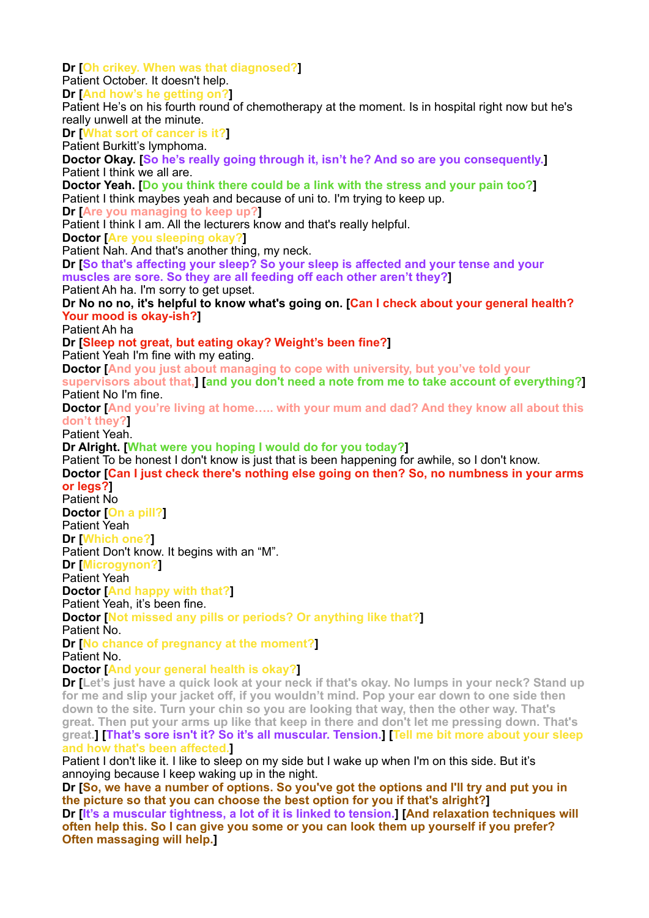**Dr [Oh crikey. When was that diagnosed?]**  Patient October. It doesn't help. **Dr [And how's he getting on?]**  Patient He's on his fourth round of chemotherapy at the moment. Is in hospital right now but he's really unwell at the minute. **Dr [What sort of cancer is it?]**  Patient Burkitt's lymphoma. **Doctor Okay. [So he's really going through it, isn't he? And so are you consequently.]**  Patient I think we all are. **Doctor Yeah. [Do you think there could be a link with the stress and your pain too?]**  Patient I think maybes yeah and because of uni to. I'm trying to keep up. **Dr [Are you managing to keep up?]**  Patient I think I am. All the lecturers know and that's really helpful. **Doctor [Are you sleeping okay?]**  Patient Nah. And that's another thing, my neck. **Dr [So that's affecting your sleep? So your sleep is affected and your tense and your muscles are sore. So they are all feeding off each other aren't they?]**  Patient Ah ha. I'm sorry to get upset. **Dr No no no, it's helpful to know what's going on. [Can I check about your general health? Your mood is okay-ish?]**  Patient Ah ha **Dr [Sleep not great, but eating okay? Weight's been fine?]**  Patient Yeah I'm fine with my eating. **Doctor [And you just about managing to cope with university, but you've told your supervisors about that,] [and you don't need a note from me to take account of everything?]**  Patient No I'm fine. **Doctor [And you're living at home….. with your mum and dad? And they know all about this don't they?]**  Patient Yeah. **Dr Alright. [What were you hoping I would do for you today?]**  Patient To be honest I don't know is just that is been happening for awhile, so I don't know. **Doctor [Can I just check there's nothing else going on then? So, no numbness in your arms or legs?]**  Patient No **Doctor [On a pill?]**  Patient Yeah **Dr [Which one?]**  Patient Don't know. It begins with an "M". **Dr [Microgynon?]**  Patient Yeah **Doctor [And happy with that?]**  Patient Yeah, it's been fine. **Doctor [Not missed any pills or periods? Or anything like that?]**  Patient No. **Dr [No chance of pregnancy at the moment?]**  Patient No. **Doctor [And your general health is okay?] Dr [Let's just have a quick look at your neck if that's okay. No lumps in your neck? Stand up for me and slip your jacket off, if you wouldn't mind. Pop your ear down to one side then down to the site. Turn your chin so you are looking that way, then the other way. That's great. Then put your arms up like that keep in there and don't let me pressing down. That's great.] [That's sore isn't it? So it's all muscular. Tension.] [Tell me bit more about your sleep and how that's been affected.]**  Patient I don't like it. I like to sleep on my side but I wake up when I'm on this side. But it's

annoying because I keep waking up in the night.

**Dr [So, we have a number of options. So you've got the options and I'll try and put you in the picture so that you can choose the best option for you if that's alright?] Dr [It's a muscular tightness, a lot of it is linked to tension.] [And relaxation techniques will often help this. So I can give you some or you can look them up yourself if you prefer? Often massaging will help.]**